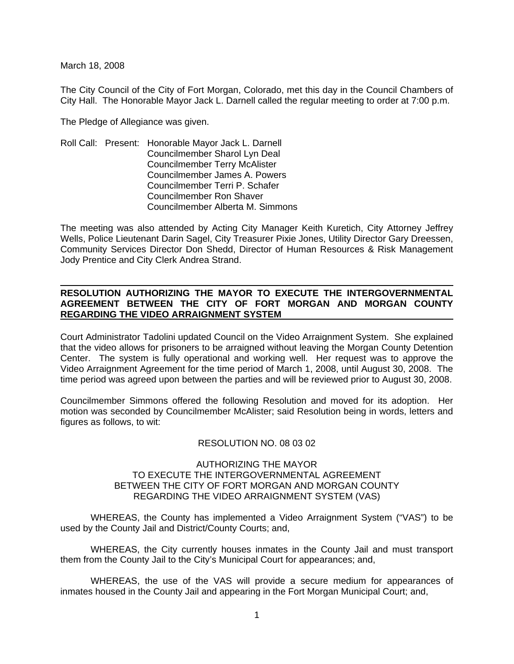March 18, 2008

The City Council of the City of Fort Morgan, Colorado, met this day in the Council Chambers of City Hall. The Honorable Mayor Jack L. Darnell called the regular meeting to order at 7:00 p.m.

The Pledge of Allegiance was given.

Roll Call: Present: Honorable Mayor Jack L. Darnell Councilmember Sharol Lyn Deal Councilmember Terry McAlister Councilmember James A. Powers Councilmember Terri P. Schafer Councilmember Ron Shaver Councilmember Alberta M. Simmons

The meeting was also attended by Acting City Manager Keith Kuretich, City Attorney Jeffrey Wells, Police Lieutenant Darin Sagel, City Treasurer Pixie Jones, Utility Director Gary Dreessen, Community Services Director Don Shedd, Director of Human Resources & Risk Management Jody Prentice and City Clerk Andrea Strand.

## **RESOLUTION AUTHORIZING THE MAYOR TO EXECUTE THE INTERGOVERNMENTAL AGREEMENT BETWEEN THE CITY OF FORT MORGAN AND MORGAN COUNTY REGARDING THE VIDEO ARRAIGNMENT SYSTEM**

Court Administrator Tadolini updated Council on the Video Arraignment System. She explained that the video allows for prisoners to be arraigned without leaving the Morgan County Detention Center. The system is fully operational and working well. Her request was to approve the Video Arraignment Agreement for the time period of March 1, 2008, until August 30, 2008. The time period was agreed upon between the parties and will be reviewed prior to August 30, 2008.

Councilmember Simmons offered the following Resolution and moved for its adoption. Her motion was seconded by Councilmember McAlister; said Resolution being in words, letters and figures as follows, to wit:

### RESOLUTION NO. 08 03 02

#### AUTHORIZING THE MAYOR TO EXECUTE THE INTERGOVERNMENTAL AGREEMENT BETWEEN THE CITY OF FORT MORGAN AND MORGAN COUNTY REGARDING THE VIDEO ARRAIGNMENT SYSTEM (VAS)

WHEREAS, the County has implemented a Video Arraignment System ("VAS") to be used by the County Jail and District/County Courts; and,

WHEREAS, the City currently houses inmates in the County Jail and must transport them from the County Jail to the City's Municipal Court for appearances; and,

WHEREAS, the use of the VAS will provide a secure medium for appearances of inmates housed in the County Jail and appearing in the Fort Morgan Municipal Court; and,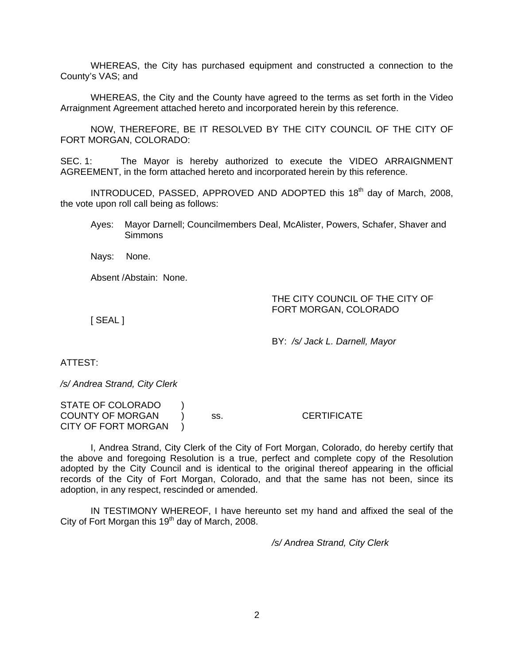WHEREAS, the City has purchased equipment and constructed a connection to the County's VAS; and

WHEREAS, the City and the County have agreed to the terms as set forth in the Video Arraignment Agreement attached hereto and incorporated herein by this reference.

NOW, THEREFORE, BE IT RESOLVED BY THE CITY COUNCIL OF THE CITY OF FORT MORGAN, COLORADO:

SEC. 1: The Mayor is hereby authorized to execute the VIDEO ARRAIGNMENT AGREEMENT, in the form attached hereto and incorporated herein by this reference.

INTRODUCED, PASSED, APPROVED AND ADOPTED this 18<sup>th</sup> day of March, 2008, the vote upon roll call being as follows:

Ayes: Mayor Darnell; Councilmembers Deal, McAlister, Powers, Schafer, Shaver and Simmons

Nays: None.

Absent /Abstain: None.

## THE CITY COUNCIL OF THE CITY OF FORT MORGAN, COLORADO

[ SEAL ]

BY: */s/ Jack L. Darnell, Mayor* 

ATTEST:

*/s/ Andrea Strand, City Clerk* 

STATE OF COLORADO ) COUNTY OF MORGAN ) ss. CERTIFICATE CITY OF FORT MORGAN )

 I, Andrea Strand, City Clerk of the City of Fort Morgan, Colorado, do hereby certify that the above and foregoing Resolution is a true, perfect and complete copy of the Resolution adopted by the City Council and is identical to the original thereof appearing in the official records of the City of Fort Morgan, Colorado, and that the same has not been, since its adoption, in any respect, rescinded or amended.

 IN TESTIMONY WHEREOF, I have hereunto set my hand and affixed the seal of the City of Fort Morgan this  $19<sup>th</sup>$  day of March, 2008.

*/s/ Andrea Strand, City Clerk*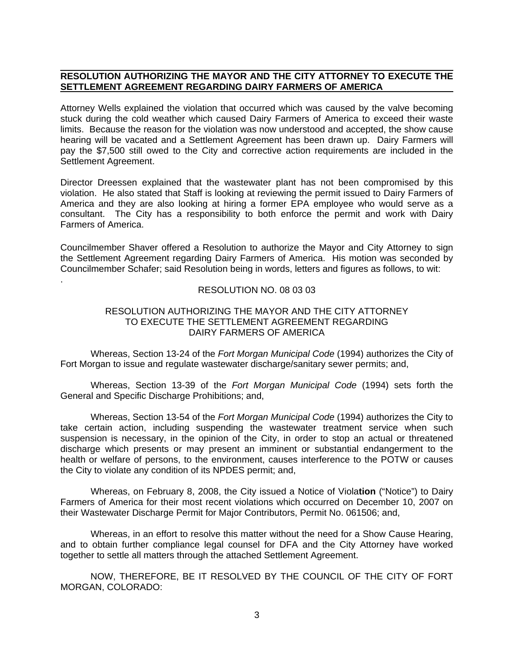## **RESOLUTION AUTHORIZING THE MAYOR AND THE CITY ATTORNEY TO EXECUTE THE SETTLEMENT AGREEMENT REGARDING DAIRY FARMERS OF AMERICA**

.

Attorney Wells explained the violation that occurred which was caused by the valve becoming stuck during the cold weather which caused Dairy Farmers of America to exceed their waste limits. Because the reason for the violation was now understood and accepted, the show cause hearing will be vacated and a Settlement Agreement has been drawn up. Dairy Farmers will pay the \$7,500 still owed to the City and corrective action requirements are included in the Settlement Agreement.

Director Dreessen explained that the wastewater plant has not been compromised by this violation. He also stated that Staff is looking at reviewing the permit issued to Dairy Farmers of America and they are also looking at hiring a former EPA employee who would serve as a consultant. The City has a responsibility to both enforce the permit and work with Dairy Farmers of America.

Councilmember Shaver offered a Resolution to authorize the Mayor and City Attorney to sign the Settlement Agreement regarding Dairy Farmers of America. His motion was seconded by Councilmember Schafer; said Resolution being in words, letters and figures as follows, to wit:

#### RESOLUTION NO. 08 03 03

### RESOLUTION AUTHORIZING THE MAYOR AND THE CITY ATTORNEY TO EXECUTE THE SETTLEMENT AGREEMENT REGARDING DAIRY FARMERS OF AMERICA

Whereas, Section 13-24 of the *Fort Morgan Municipal Code* (1994) authorizes the City of Fort Morgan to issue and regulate wastewater discharge/sanitary sewer permits; and,

 Whereas, Section 13-39 of the *Fort Morgan Municipal Code* (1994) sets forth the General and Specific Discharge Prohibitions; and,

 Whereas, Section 13-54 of the *Fort Morgan Municipal Code* (1994) authorizes the City to take certain action, including suspending the wastewater treatment service when such suspension is necessary, in the opinion of the City, in order to stop an actual or threatened discharge which presents or may present an imminent or substantial endangerment to the health or welfare of persons, to the environment, causes interference to the POTW or causes the City to violate any condition of its NPDES permit; and,

 Whereas, on February 8, 2008, the City issued a Notice of Viola**tion** ("Notice") to Dairy Farmers of America for their most recent violations which occurred on December 10, 2007 on their Wastewater Discharge Permit for Major Contributors, Permit No. 061506; and,

 Whereas, in an effort to resolve this matter without the need for a Show Cause Hearing, and to obtain further compliance legal counsel for DFA and the City Attorney have worked together to settle all matters through the attached Settlement Agreement.

 NOW, THEREFORE, BE IT RESOLVED BY THE COUNCIL OF THE CITY OF FORT MORGAN, COLORADO: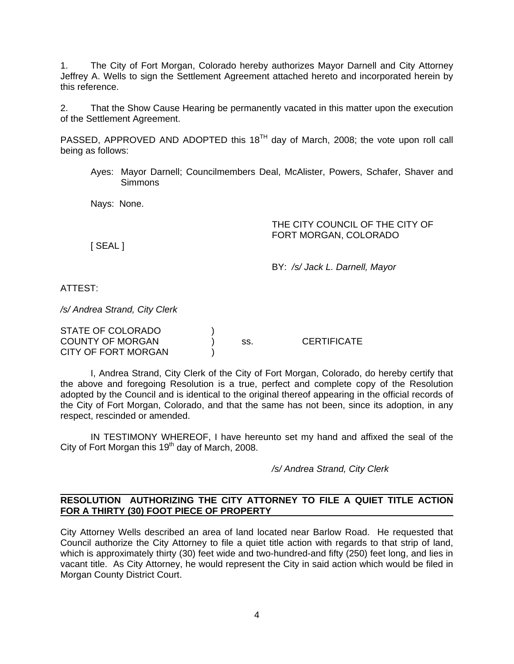1. The City of Fort Morgan, Colorado hereby authorizes Mayor Darnell and City Attorney Jeffrey A. Wells to sign the Settlement Agreement attached hereto and incorporated herein by this reference.

2. That the Show Cause Hearing be permanently vacated in this matter upon the execution of the Settlement Agreement.

PASSED, APPROVED AND ADOPTED this  $18<sup>TH</sup>$  day of March, 2008; the vote upon roll call being as follows:

Ayes: Mayor Darnell; Councilmembers Deal, McAlister, Powers, Schafer, Shaver and Simmons

Nays: None.

## THE CITY COUNCIL OF THE CITY OF FORT MORGAN, COLORADO

[ SEAL ]

BY: */s/ Jack L. Darnell, Mayor*

ATTEST:

*/s/ Andrea Strand, City Clerk* 

| STATE OF COLORADO          |     |                    |
|----------------------------|-----|--------------------|
| <b>COUNTY OF MORGAN</b>    | SS. | <b>CERTIFICATE</b> |
| <b>CITY OF FORT MORGAN</b> |     |                    |

 I, Andrea Strand, City Clerk of the City of Fort Morgan, Colorado, do hereby certify that the above and foregoing Resolution is a true, perfect and complete copy of the Resolution adopted by the Council and is identical to the original thereof appearing in the official records of the City of Fort Morgan, Colorado, and that the same has not been, since its adoption, in any respect, rescinded or amended.

 IN TESTIMONY WHEREOF, I have hereunto set my hand and affixed the seal of the City of Fort Morgan this  $19<sup>th</sup>$  day of March, 2008.

*/s/ Andrea Strand, City Clerk* 

#### **RESOLUTION AUTHORIZING THE CITY ATTORNEY TO FILE A QUIET TITLE ACTION FOR A THIRTY (30) FOOT PIECE OF PROPERTY**

City Attorney Wells described an area of land located near Barlow Road. He requested that Council authorize the City Attorney to file a quiet title action with regards to that strip of land, which is approximately thirty (30) feet wide and two-hundred-and fifty (250) feet long, and lies in vacant title. As City Attorney, he would represent the City in said action which would be filed in Morgan County District Court.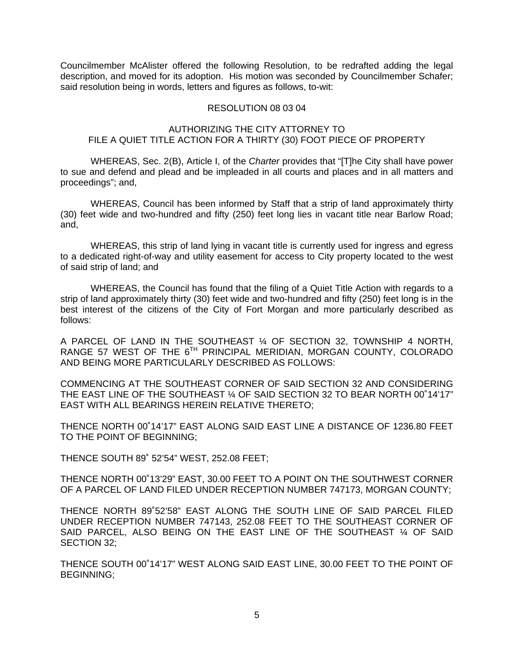Councilmember McAlister offered the following Resolution, to be redrafted adding the legal description, and moved for its adoption. His motion was seconded by Councilmember Schafer; said resolution being in words, letters and figures as follows, to-wit:

#### RESOLUTION 08 03 04

## AUTHORIZING THE CITY ATTORNEY TO FILE A QUIET TITLE ACTION FOR A THIRTY (30) FOOT PIECE OF PROPERTY

WHEREAS, Sec. 2(B), Article I, of the *Charter* provides that "[T]he City shall have power to sue and defend and plead and be impleaded in all courts and places and in all matters and proceedings"; and,

WHEREAS, Council has been informed by Staff that a strip of land approximately thirty (30) feet wide and two-hundred and fifty (250) feet long lies in vacant title near Barlow Road; and,

WHEREAS, this strip of land lying in vacant title is currently used for ingress and egress to a dedicated right-of-way and utility easement for access to City property located to the west of said strip of land; and

WHEREAS, the Council has found that the filing of a Quiet Title Action with regards to a strip of land approximately thirty (30) feet wide and two-hundred and fifty (250) feet long is in the best interest of the citizens of the City of Fort Morgan and more particularly described as follows:

A PARCEL OF LAND IN THE SOUTHEAST ¼ OF SECTION 32, TOWNSHIP 4 NORTH, RANGE 57 WEST OF THE 6TH PRINCIPAL MERIDIAN, MORGAN COUNTY, COLORADO AND BEING MORE PARTICULARLY DESCRIBED AS FOLLOWS:

COMMENCING AT THE SOUTHEAST CORNER OF SAID SECTION 32 AND CONSIDERING THE EAST LINE OF THE SOUTHEAST ¼ OF SAID SECTION 32 TO BEAR NORTH 00˚14'17" EAST WITH ALL BEARINGS HEREIN RELATIVE THERETO;

THENCE NORTH 00˚14'17" EAST ALONG SAID EAST LINE A DISTANCE OF 1236.80 FEET TO THE POINT OF BEGINNING;

THENCE SOUTH 89˚ 52'54" WEST, 252.08 FEET;

THENCE NORTH 00˚13'29" EAST, 30.00 FEET TO A POINT ON THE SOUTHWEST CORNER OF A PARCEL OF LAND FILED UNDER RECEPTION NUMBER 747173, MORGAN COUNTY;

THENCE NORTH 89˚52'58" EAST ALONG THE SOUTH LINE OF SAID PARCEL FILED UNDER RECEPTION NUMBER 747143, 252.08 FEET TO THE SOUTHEAST CORNER OF SAID PARCEL, ALSO BEING ON THE EAST LINE OF THE SOUTHEAST 1/4 OF SAID SECTION 32;

THENCE SOUTH 00˚14'17" WEST ALONG SAID EAST LINE, 30.00 FEET TO THE POINT OF BEGINNING;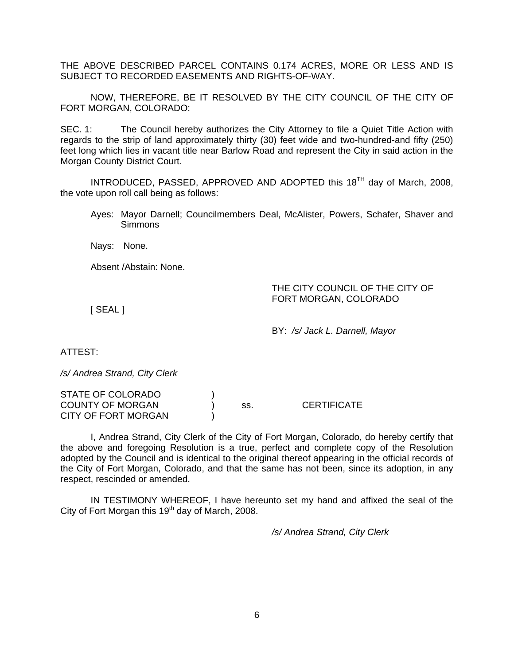THE ABOVE DESCRIBED PARCEL CONTAINS 0.174 ACRES, MORE OR LESS AND IS SUBJECT TO RECORDED EASEMENTS AND RIGHTS-OF-WAY.

NOW, THEREFORE, BE IT RESOLVED BY THE CITY COUNCIL OF THE CITY OF FORT MORGAN, COLORADO:

SEC. 1: The Council hereby authorizes the City Attorney to file a Quiet Title Action with regards to the strip of land approximately thirty (30) feet wide and two-hundred-and fifty (250) feet long which lies in vacant title near Barlow Road and represent the City in said action in the Morgan County District Court.

INTRODUCED, PASSED, APPROVED AND ADOPTED this 18<sup>TH</sup> day of March, 2008, the vote upon roll call being as follows:

Ayes: Mayor Darnell; Councilmembers Deal, McAlister, Powers, Schafer, Shaver and **Simmons** 

Nays: None.

Absent /Abstain: None.

THE CITY COUNCIL OF THE CITY OF FORT MORGAN, COLORADO

[ SEAL ]

BY: */s/ Jack L. Darnell, Mayor* 

ATTEST:

*/s/ Andrea Strand, City Clerk* 

STATE OF COLORADO ) COUNTY OF MORGAN ) ss. CERTIFICATE CITY OF FORT MORGAN

 I, Andrea Strand, City Clerk of the City of Fort Morgan, Colorado, do hereby certify that the above and foregoing Resolution is a true, perfect and complete copy of the Resolution adopted by the Council and is identical to the original thereof appearing in the official records of the City of Fort Morgan, Colorado, and that the same has not been, since its adoption, in any respect, rescinded or amended.

 IN TESTIMONY WHEREOF, I have hereunto set my hand and affixed the seal of the City of Fort Morgan this  $19<sup>th</sup>$  day of March, 2008.

*/s/ Andrea Strand, City Clerk*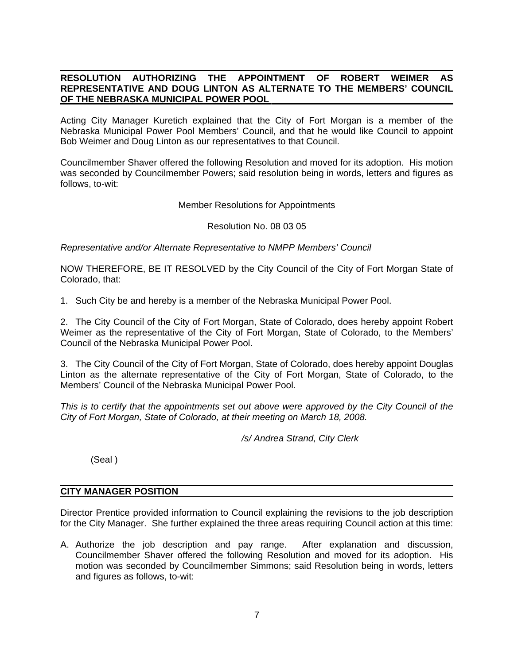# **RESOLUTION AUTHORIZING THE APPOINTMENT OF ROBERT WEIMER AS REPRESENTATIVE AND DOUG LINTON AS ALTERNATE TO THE MEMBERS' COUNCIL OF THE NEBRASKA MUNICIPAL POWER POOL**

Acting City Manager Kuretich explained that the City of Fort Morgan is a member of the Nebraska Municipal Power Pool Members' Council, and that he would like Council to appoint Bob Weimer and Doug Linton as our representatives to that Council.

Councilmember Shaver offered the following Resolution and moved for its adoption. His motion was seconded by Councilmember Powers; said resolution being in words, letters and figures as follows, to-wit:

Member Resolutions for Appointments

Resolution No. 08 03 05

*Representative and/or Alternate Representative to NMPP Members' Council* 

NOW THEREFORE, BE IT RESOLVED by the City Council of the City of Fort Morgan State of Colorado, that:

1. Such City be and hereby is a member of the Nebraska Municipal Power Pool.

2. The City Council of the City of Fort Morgan, State of Colorado, does hereby appoint Robert Weimer as the representative of the City of Fort Morgan, State of Colorado, to the Members' Council of the Nebraska Municipal Power Pool.

3. The City Council of the City of Fort Morgan, State of Colorado, does hereby appoint Douglas Linton as the alternate representative of the City of Fort Morgan, State of Colorado, to the Members' Council of the Nebraska Municipal Power Pool.

*This is to certify that the appointments set out above were approved by the City Council of the City of Fort Morgan, State of Colorado, at their meeting on March 18, 2008.* 

*/s/ Andrea Strand, City Clerk* 

(Seal )

### **CITY MANAGER POSITION**

Director Prentice provided information to Council explaining the revisions to the job description for the City Manager. She further explained the three areas requiring Council action at this time:

A. Authorize the job description and pay range. After explanation and discussion, Councilmember Shaver offered the following Resolution and moved for its adoption. His motion was seconded by Councilmember Simmons; said Resolution being in words, letters and figures as follows, to-wit: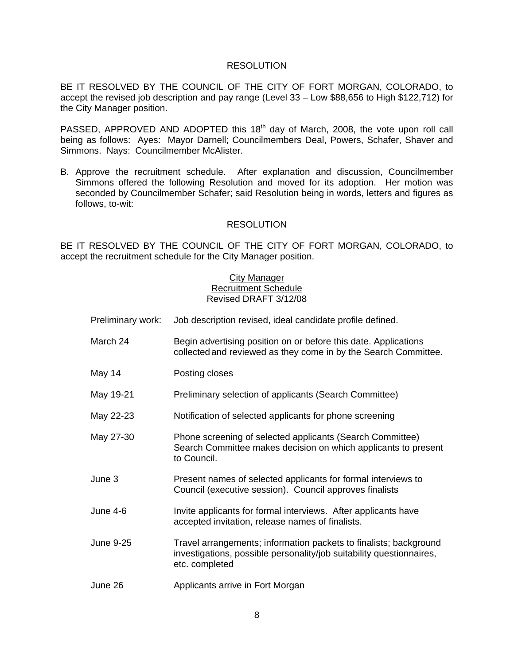### RESOLUTION

BE IT RESOLVED BY THE COUNCIL OF THE CITY OF FORT MORGAN, COLORADO, to accept the revised job description and pay range (Level 33 – Low \$88,656 to High \$122,712) for the City Manager position.

PASSED, APPROVED AND ADOPTED this 18<sup>th</sup> day of March, 2008, the vote upon roll call being as follows: Ayes: Mayor Darnell; Councilmembers Deal, Powers, Schafer, Shaver and Simmons. Nays: Councilmember McAlister.

B. Approve the recruitment schedule. After explanation and discussion, Councilmember Simmons offered the following Resolution and moved for its adoption. Her motion was seconded by Councilmember Schafer; said Resolution being in words, letters and figures as follows, to-wit:

### RESOLUTION

BE IT RESOLVED BY THE COUNCIL OF THE CITY OF FORT MORGAN, COLORADO, to accept the recruitment schedule for the City Manager position.

## City Manager Recruitment Schedule Revised DRAFT 3/12/08

| Preliminary work: | Job description revised, ideal candidate profile defined.                                                                                                   |
|-------------------|-------------------------------------------------------------------------------------------------------------------------------------------------------------|
| March 24          | Begin advertising position on or before this date. Applications<br>collected and reviewed as they come in by the Search Committee.                          |
| May 14            | Posting closes                                                                                                                                              |
| May 19-21         | Preliminary selection of applicants (Search Committee)                                                                                                      |
| May 22-23         | Notification of selected applicants for phone screening                                                                                                     |
| May 27-30         | Phone screening of selected applicants (Search Committee)<br>Search Committee makes decision on which applicants to present<br>to Council.                  |
| June 3            | Present names of selected applicants for formal interviews to<br>Council (executive session). Council approves finalists                                    |
| <b>June 4-6</b>   | Invite applicants for formal interviews. After applicants have<br>accepted invitation, release names of finalists.                                          |
| <b>June 9-25</b>  | Travel arrangements; information packets to finalists; background<br>investigations, possible personality/job suitability questionnaires,<br>etc. completed |
| June 26           | Applicants arrive in Fort Morgan                                                                                                                            |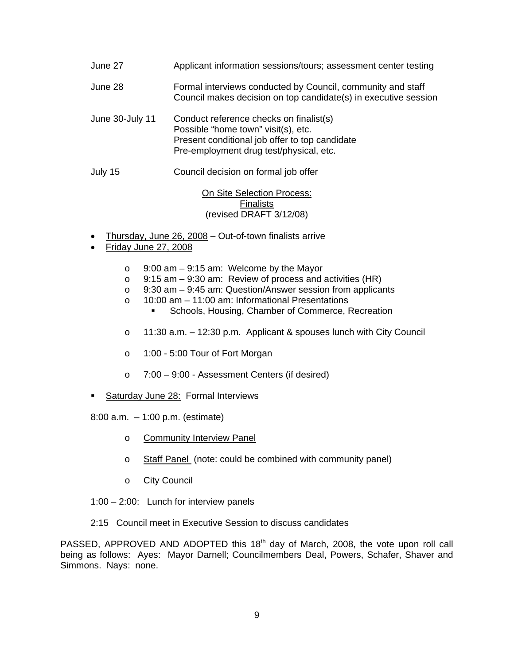| Applicant information sessions/tours; assessment center testing                                                                                                             |
|-----------------------------------------------------------------------------------------------------------------------------------------------------------------------------|
| Formal interviews conducted by Council, community and staff<br>Council makes decision on top candidate(s) in executive session                                              |
| Conduct reference checks on finalist(s)<br>Possible "home town" visit(s), etc.<br>Present conditional job offer to top candidate<br>Pre-employment drug test/physical, etc. |
| Council decision on formal job offer                                                                                                                                        |
|                                                                                                                                                                             |

**On Site Selection Process:** Finalists (revised DRAFT 3/12/08)

- Thursday, June 26, 2008 Out-of-town finalists arrive
- Friday June 27, 2008
	- o 9:00 am 9:15 am: Welcome by the Mayor
	- o 9:15 am 9:30 am: Review of process and activities (HR)
	- o 9:30 am 9:45 am: Question/Answer session from applicants
	- o 10:00 am 11:00 am: Informational Presentations
		- **Schools, Housing, Chamber of Commerce, Recreation**
	- o 11:30 a.m. 12:30 p.m. Applicant & spouses lunch with City Council
	- o 1:00 5:00 Tour of Fort Morgan
	- o 7:00 9:00 Assessment Centers (if desired)
- Saturday June 28: Formal Interviews
- 8:00 a.m. 1:00 p.m. (estimate)
	- o Community Interview Panel
	- o Staff Panel (note: could be combined with community panel)
	- o City Council
- 1:00 2:00: Lunch for interview panels
- 2:15 Council meet in Executive Session to discuss candidates

PASSED, APPROVED AND ADOPTED this 18<sup>th</sup> day of March, 2008, the vote upon roll call being as follows: Ayes: Mayor Darnell; Councilmembers Deal, Powers, Schafer, Shaver and Simmons. Nays: none.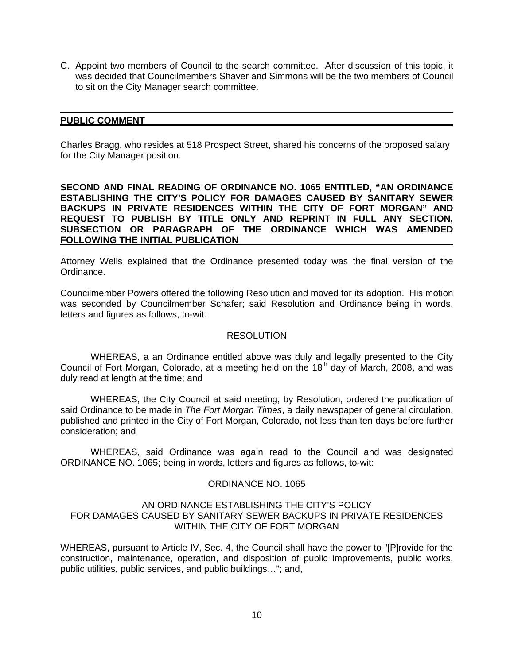C. Appoint two members of Council to the search committee. After discussion of this topic, it was decided that Councilmembers Shaver and Simmons will be the two members of Council to sit on the City Manager search committee.

#### **PUBLIC COMMENT**

Charles Bragg, who resides at 518 Prospect Street, shared his concerns of the proposed salary for the City Manager position.

 **SECOND AND FINAL READING OF ORDINANCE NO. 1065 ENTITLED, "AN ORDINANCE ESTABLISHING THE CITY'S POLICY FOR DAMAGES CAUSED BY SANITARY SEWER BACKUPS IN PRIVATE RESIDENCES WITHIN THE CITY OF FORT MORGAN" AND REQUEST TO PUBLISH BY TITLE ONLY AND REPRINT IN FULL ANY SECTION, SUBSECTION OR PARAGRAPH OF THE ORDINANCE WHICH WAS AMENDED FOLLOWING THE INITIAL PUBLICATION** 

Attorney Wells explained that the Ordinance presented today was the final version of the Ordinance.

Councilmember Powers offered the following Resolution and moved for its adoption. His motion was seconded by Councilmember Schafer; said Resolution and Ordinance being in words, letters and figures as follows, to-wit:

#### **RESOLUTION**

 WHEREAS, a an Ordinance entitled above was duly and legally presented to the City Council of Fort Morgan, Colorado, at a meeting held on the 18<sup>th</sup> day of March, 2008, and was duly read at length at the time; and

 WHEREAS, the City Council at said meeting, by Resolution, ordered the publication of said Ordinance to be made in *The Fort Morgan Times*, a daily newspaper of general circulation, published and printed in the City of Fort Morgan, Colorado, not less than ten days before further consideration; and

 WHEREAS, said Ordinance was again read to the Council and was designated ORDINANCE NO. 1065; being in words, letters and figures as follows, to-wit:

### ORDINANCE NO. 1065

#### AN ORDINANCE ESTABLISHING THE CITY'S POLICY FOR DAMAGES CAUSED BY SANITARY SEWER BACKUPS IN PRIVATE RESIDENCES WITHIN THE CITY OF FORT MORGAN

WHEREAS, pursuant to Article IV, Sec. 4, the Council shall have the power to "[P]rovide for the construction, maintenance, operation, and disposition of public improvements, public works, public utilities, public services, and public buildings…"; and,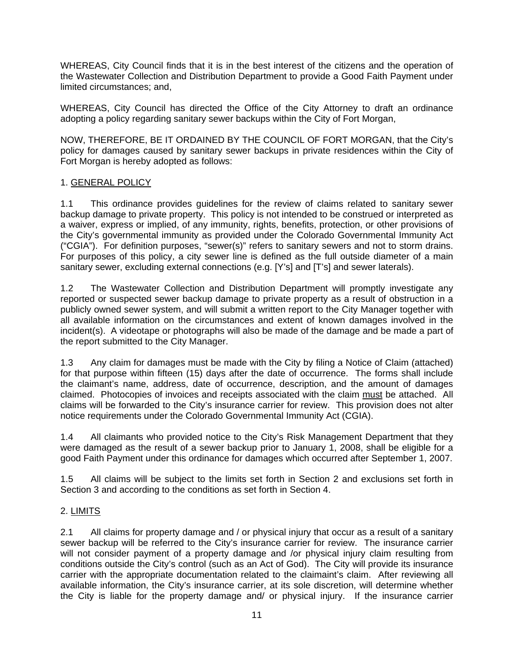WHEREAS, City Council finds that it is in the best interest of the citizens and the operation of the Wastewater Collection and Distribution Department to provide a Good Faith Payment under limited circumstances; and,

WHEREAS, City Council has directed the Office of the City Attorney to draft an ordinance adopting a policy regarding sanitary sewer backups within the City of Fort Morgan,

NOW, THEREFORE, BE IT ORDAINED BY THE COUNCIL OF FORT MORGAN, that the City's policy for damages caused by sanitary sewer backups in private residences within the City of Fort Morgan is hereby adopted as follows:

# 1. GENERAL POLICY

1.1 This ordinance provides guidelines for the review of claims related to sanitary sewer backup damage to private property. This policy is not intended to be construed or interpreted as a waiver, express or implied, of any immunity, rights, benefits, protection, or other provisions of the City's governmental immunity as provided under the Colorado Governmental Immunity Act ("CGIA"). For definition purposes, "sewer(s)" refers to sanitary sewers and not to storm drains. For purposes of this policy, a city sewer line is defined as the full outside diameter of a main sanitary sewer, excluding external connections (e.g. [Y's] and [T's] and sewer laterals).

1.2 The Wastewater Collection and Distribution Department will promptly investigate any reported or suspected sewer backup damage to private property as a result of obstruction in a publicly owned sewer system, and will submit a written report to the City Manager together with all available information on the circumstances and extent of known damages involved in the incident(s). A videotape or photographs will also be made of the damage and be made a part of the report submitted to the City Manager.

1.3 Any claim for damages must be made with the City by filing a Notice of Claim (attached) for that purpose within fifteen (15) days after the date of occurrence. The forms shall include the claimant's name, address, date of occurrence, description, and the amount of damages claimed. Photocopies of invoices and receipts associated with the claim must be attached. All claims will be forwarded to the City's insurance carrier for review. This provision does not alter notice requirements under the Colorado Governmental Immunity Act (CGIA).

1.4 All claimants who provided notice to the City's Risk Management Department that they were damaged as the result of a sewer backup prior to January 1, 2008, shall be eligible for a good Faith Payment under this ordinance for damages which occurred after September 1, 2007.

1.5 All claims will be subject to the limits set forth in Section 2 and exclusions set forth in Section 3 and according to the conditions as set forth in Section 4.

# 2. LIMITS

2.1 All claims for property damage and / or physical injury that occur as a result of a sanitary sewer backup will be referred to the City's insurance carrier for review. The insurance carrier will not consider payment of a property damage and /or physical injury claim resulting from conditions outside the City's control (such as an Act of God). The City will provide its insurance carrier with the appropriate documentation related to the claimaint's claim. After reviewing all available information, the City's insurance carrier, at its sole discretion, will determine whether the City is liable for the property damage and/ or physical injury. If the insurance carrier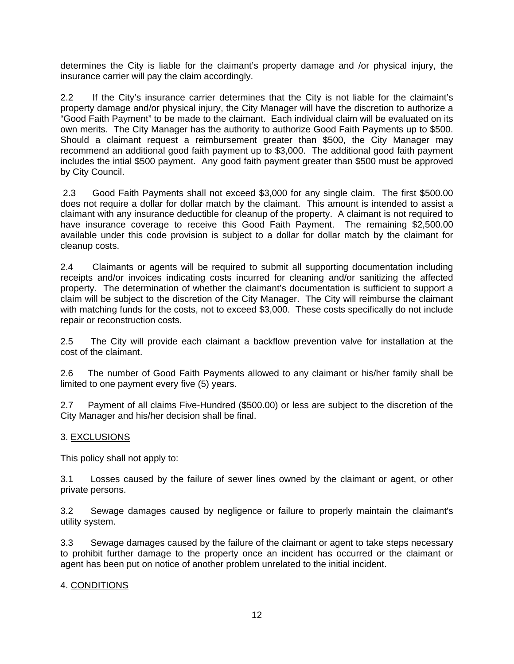determines the City is liable for the claimant's property damage and /or physical injury, the insurance carrier will pay the claim accordingly.

2.2 If the City's insurance carrier determines that the City is not liable for the claimaint's property damage and/or physical injury, the City Manager will have the discretion to authorize a "Good Faith Payment" to be made to the claimant. Each individual claim will be evaluated on its own merits. The City Manager has the authority to authorize Good Faith Payments up to \$500. Should a claimant request a reimbursement greater than \$500, the City Manager may recommend an additional good faith payment up to \$3,000. The additional good faith payment includes the intial \$500 payment. Any good faith payment greater than \$500 must be approved by City Council.

 2.3 Good Faith Payments shall not exceed \$3,000 for any single claim. The first \$500.00 does not require a dollar for dollar match by the claimant. This amount is intended to assist a claimant with any insurance deductible for cleanup of the property. A claimant is not required to have insurance coverage to receive this Good Faith Payment. The remaining \$2,500.00 available under this code provision is subject to a dollar for dollar match by the claimant for cleanup costs.

2.4 Claimants or agents will be required to submit all supporting documentation including receipts and/or invoices indicating costs incurred for cleaning and/or sanitizing the affected property. The determination of whether the claimant's documentation is sufficient to support a claim will be subject to the discretion of the City Manager. The City will reimburse the claimant with matching funds for the costs, not to exceed \$3,000. These costs specifically do not include repair or reconstruction costs.

2.5 The City will provide each claimant a backflow prevention valve for installation at the cost of the claimant.

2.6 The number of Good Faith Payments allowed to any claimant or his/her family shall be limited to one payment every five (5) years.

2.7 Payment of all claims Five-Hundred (\$500.00) or less are subject to the discretion of the City Manager and his/her decision shall be final.

# 3. EXCLUSIONS

This policy shall not apply to:

3.1 Losses caused by the failure of sewer lines owned by the claimant or agent, or other private persons.

3.2 Sewage damages caused by negligence or failure to properly maintain the claimant's utility system.

3.3 Sewage damages caused by the failure of the claimant or agent to take steps necessary to prohibit further damage to the property once an incident has occurred or the claimant or agent has been put on notice of another problem unrelated to the initial incident.

### 4. CONDITIONS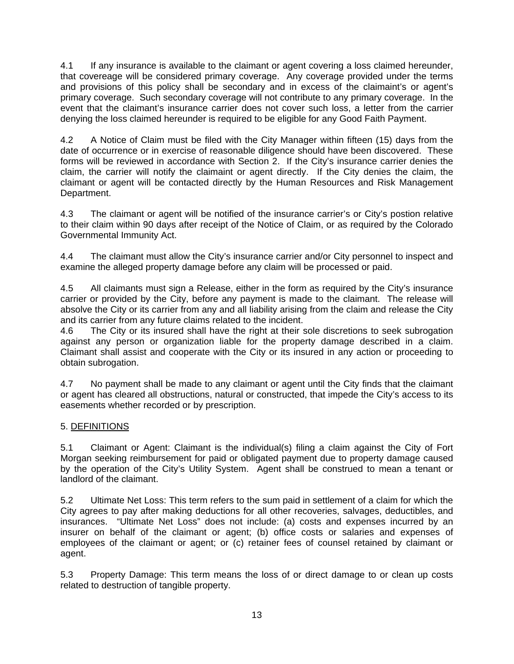4.1 If any insurance is available to the claimant or agent covering a loss claimed hereunder, that covereage will be considered primary coverage. Any coverage provided under the terms and provisions of this policy shall be secondary and in excess of the claimaint's or agent's primary coverage. Such secondary coverage will not contribute to any primary coverage. In the event that the claimant's insurance carrier does not cover such loss, a letter from the carrier denying the loss claimed hereunder is required to be eligible for any Good Faith Payment.

4.2 A Notice of Claim must be filed with the City Manager within fifteen (15) days from the date of occurrence or in exercise of reasonable diligence should have been discovered. These forms will be reviewed in accordance with Section 2. If the City's insurance carrier denies the claim, the carrier will notify the claimaint or agent directly. If the City denies the claim, the claimant or agent will be contacted directly by the Human Resources and Risk Management Department.

4.3 The claimant or agent will be notified of the insurance carrier's or City's postion relative to their claim within 90 days after receipt of the Notice of Claim, or as required by the Colorado Governmental Immunity Act.

4.4 The claimant must allow the City's insurance carrier and/or City personnel to inspect and examine the alleged property damage before any claim will be processed or paid.

4.5 All claimants must sign a Release, either in the form as required by the City's insurance carrier or provided by the City, before any payment is made to the claimant. The release will absolve the City or its carrier from any and all liability arising from the claim and release the City and its carrier from any future claims related to the incident.

4.6 The City or its insured shall have the right at their sole discretions to seek subrogation against any person or organization liable for the property damage described in a claim. Claimant shall assist and cooperate with the City or its insured in any action or proceeding to obtain subrogation.

4.7 No payment shall be made to any claimant or agent until the City finds that the claimant or agent has cleared all obstructions, natural or constructed, that impede the City's access to its easements whether recorded or by prescription.

# 5. DEFINITIONS

5.1 Claimant or Agent: Claimant is the individual(s) filing a claim against the City of Fort Morgan seeking reimbursement for paid or obligated payment due to property damage caused by the operation of the City's Utility System. Agent shall be construed to mean a tenant or landlord of the claimant.

5.2 Ultimate Net Loss: This term refers to the sum paid in settlement of a claim for which the City agrees to pay after making deductions for all other recoveries, salvages, deductibles, and insurances. "Ultimate Net Loss" does not include: (a) costs and expenses incurred by an insurer on behalf of the claimant or agent; (b) office costs or salaries and expenses of employees of the claimant or agent; or (c) retainer fees of counsel retained by claimant or agent.

5.3 Property Damage: This term means the loss of or direct damage to or clean up costs related to destruction of tangible property.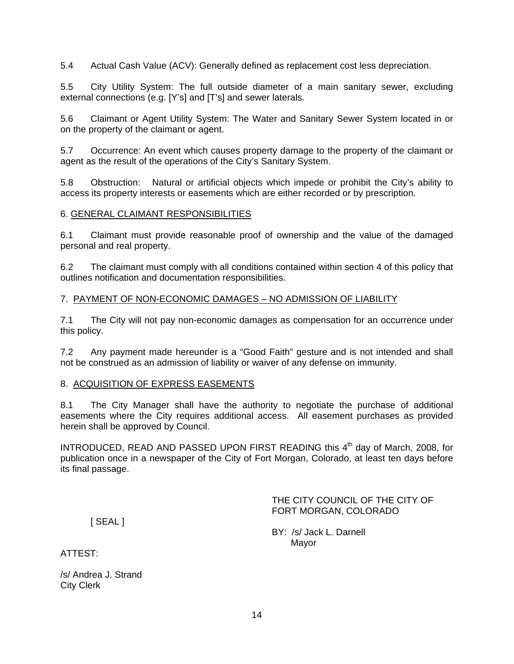5.4 Actual Cash Value (ACV): Generally defined as replacement cost less depreciation.

5.5 City Utility System: The full outside diameter of a main sanitary sewer, excluding external connections (e.g. [Y's] and [T's] and sewer laterals.

5.6 Claimant or Agent Utility System: The Water and Sanitary Sewer System located in or on the property of the claimant or agent.

5.7 Occurrence: An event which causes property damage to the property of the claimant or agent as the result of the operations of the City's Sanitary System.

5.8 Obstruction:Natural or artificial objects which impede or prohibit the City's ability to access its property interests or easements which are either recorded or by prescription.

### 6. GENERAL CLAIMANT RESPONSIBILITIES

6.1 Claimant must provide reasonable proof of ownership and the value of the damaged personal and real property.

6.2 The claimant must comply with all conditions contained within section 4 of this policy that outlines notification and documentation responsibilities.

### 7. PAYMENT OF NON-ECONOMIC DAMAGES – NO ADMISSION OF LIABILITY

7.1 The City will not pay non-economic damages as compensation for an occurrence under this policy.

7.2 Any payment made hereunder is a "Good Faith" gesture and is not intended and shall not be construed as an admission of liability or waiver of any defense on immunity.

### 8. ACQUISITION OF EXPRESS EASEMENTS

8.1 The City Manager shall have the authority to negotiate the purchase of additional easements where the City requires additional access. All easement purchases as provided herein shall be approved by Council.

INTRODUCED, READ AND PASSED UPON FIRST READING this 4<sup>th</sup> day of March, 2008, for publication once in a newspaper of the City of Fort Morgan, Colorado, at least ten days before its final passage.

> THE CITY COUNCIL OF THE CITY OF FORT MORGAN, COLORADO

[ SEAL ]

BY: /s/ Jack L. Darnell Mayor

ATTEST:

/s/ Andrea J. Strand City Clerk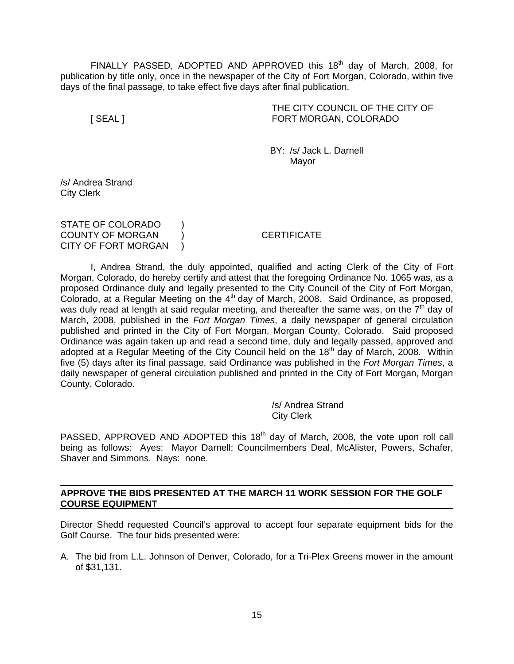FINALLY PASSED, ADOPTED AND APPROVED this  $18<sup>th</sup>$  day of March, 2008, for publication by title only, once in the newspaper of the City of Fort Morgan, Colorado, within five days of the final passage, to take effect five days after final publication.

 THE CITY COUNCIL OF THE CITY OF [ SEAL ] FORT MORGAN, COLORADO

 BY: /s/ Jack L. Darnell Mayor and the contract of the Mayor Mayor

/s/ Andrea Strand City Clerk

STATE OF COLORADO ) COUNTY OF MORGAN ) CERTIFICATE CITY OF FORT MORGAN )

 I, Andrea Strand, the duly appointed, qualified and acting Clerk of the City of Fort Morgan, Colorado, do hereby certify and attest that the foregoing Ordinance No. 1065 was, as a proposed Ordinance duly and legally presented to the City Council of the City of Fort Morgan, Colorado, at a Regular Meeting on the  $4<sup>th</sup>$  day of March, 2008. Said Ordinance, as proposed, was duly read at length at said regular meeting, and thereafter the same was, on the  $7<sup>th</sup>$  day of March, 2008, published in the *Fort Morgan Times*, a daily newspaper of general circulation published and printed in the City of Fort Morgan, Morgan County, Colorado. Said proposed Ordinance was again taken up and read a second time, duly and legally passed, approved and adopted at a Regular Meeting of the City Council held on the 18<sup>th</sup> day of March, 2008. Within five (5) days after its final passage, said Ordinance was published in the *Fort Morgan Times*, a daily newspaper of general circulation published and printed in the City of Fort Morgan, Morgan County, Colorado.

> /s/ Andrea Strand City Clerk

PASSED, APPROVED AND ADOPTED this 18<sup>th</sup> day of March, 2008, the vote upon roll call being as follows: Ayes: Mayor Darnell; Councilmembers Deal, McAlister, Powers, Schafer, Shaver and Simmons. Nays: none.

**APPROVE THE BIDS PRESENTED AT THE MARCH 11 WORK SESSION FOR THE GOLF COURSE EQUIPMENT** 

Director Shedd requested Council's approval to accept four separate equipment bids for the Golf Course. The four bids presented were:

A. The bid from L.L. Johnson of Denver, Colorado, for a Tri-Plex Greens mower in the amount of \$31,131.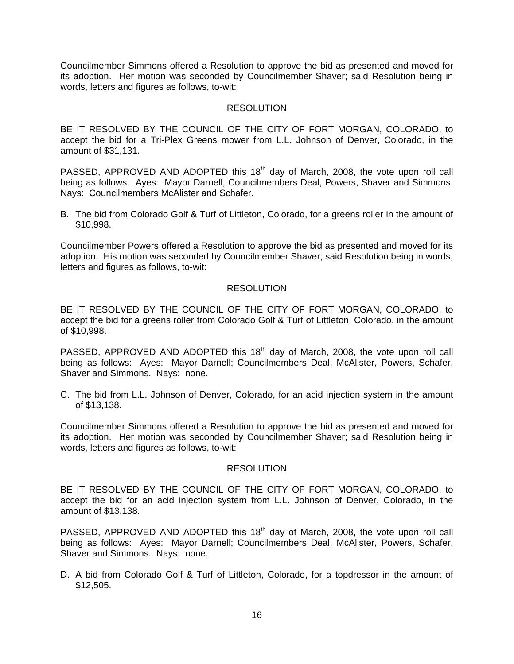Councilmember Simmons offered a Resolution to approve the bid as presented and moved for its adoption. Her motion was seconded by Councilmember Shaver; said Resolution being in words, letters and figures as follows, to-wit:

## **RESOLUTION**

BE IT RESOLVED BY THE COUNCIL OF THE CITY OF FORT MORGAN, COLORADO, to accept the bid for a Tri-Plex Greens mower from L.L. Johnson of Denver, Colorado, in the amount of \$31,131.

PASSED, APPROVED AND ADOPTED this 18<sup>th</sup> day of March, 2008, the vote upon roll call being as follows: Ayes: Mayor Darnell; Councilmembers Deal, Powers, Shaver and Simmons. Nays: Councilmembers McAlister and Schafer.

B. The bid from Colorado Golf & Turf of Littleton, Colorado, for a greens roller in the amount of \$10,998.

Councilmember Powers offered a Resolution to approve the bid as presented and moved for its adoption. His motion was seconded by Councilmember Shaver; said Resolution being in words, letters and figures as follows, to-wit:

## RESOLUTION

BE IT RESOLVED BY THE COUNCIL OF THE CITY OF FORT MORGAN, COLORADO, to accept the bid for a greens roller from Colorado Golf & Turf of Littleton, Colorado, in the amount of \$10,998.

PASSED, APPROVED AND ADOPTED this 18<sup>th</sup> day of March, 2008, the vote upon roll call being as follows: Ayes: Mayor Darnell; Councilmembers Deal, McAlister, Powers, Schafer, Shaver and Simmons. Nays: none.

C. The bid from L.L. Johnson of Denver, Colorado, for an acid injection system in the amount of \$13,138.

Councilmember Simmons offered a Resolution to approve the bid as presented and moved for its adoption. Her motion was seconded by Councilmember Shaver; said Resolution being in words, letters and figures as follows, to-wit:

### RESOLUTION

BE IT RESOLVED BY THE COUNCIL OF THE CITY OF FORT MORGAN, COLORADO, to accept the bid for an acid injection system from L.L. Johnson of Denver, Colorado, in the amount of \$13,138.

PASSED, APPROVED AND ADOPTED this 18<sup>th</sup> day of March, 2008, the vote upon roll call being as follows: Ayes: Mayor Darnell; Councilmembers Deal, McAlister, Powers, Schafer, Shaver and Simmons. Nays: none.

D. A bid from Colorado Golf & Turf of Littleton, Colorado, for a topdressor in the amount of \$12,505.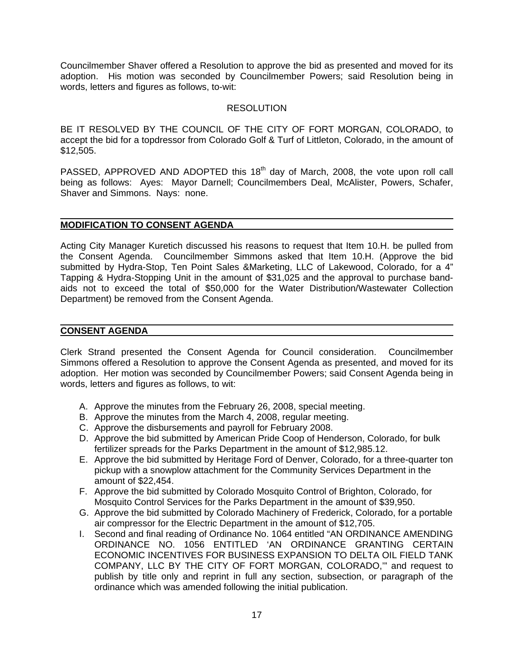Councilmember Shaver offered a Resolution to approve the bid as presented and moved for its adoption. His motion was seconded by Councilmember Powers; said Resolution being in words, letters and figures as follows, to-wit:

## **RESOLUTION**

BE IT RESOLVED BY THE COUNCIL OF THE CITY OF FORT MORGAN, COLORADO, to accept the bid for a topdressor from Colorado Golf & Turf of Littleton, Colorado, in the amount of \$12,505.

PASSED, APPROVED AND ADOPTED this 18<sup>th</sup> day of March, 2008, the vote upon roll call being as follows: Ayes: Mayor Darnell; Councilmembers Deal, McAlister, Powers, Schafer, Shaver and Simmons. Nays: none.

### **MODIFICATION TO CONSENT AGENDA**

Acting City Manager Kuretich discussed his reasons to request that Item 10.H. be pulled from the Consent Agenda. Councilmember Simmons asked that Item 10.H. (Approve the bid submitted by Hydra-Stop, Ten Point Sales &Marketing, LLC of Lakewood, Colorado, for a 4" Tapping & Hydra-Stopping Unit in the amount of \$31,025 and the approval to purchase bandaids not to exceed the total of \$50,000 for the Water Distribution/Wastewater Collection Department) be removed from the Consent Agenda.

#### **CONSENT AGENDA**

Clerk Strand presented the Consent Agenda for Council consideration. Councilmember Simmons offered a Resolution to approve the Consent Agenda as presented, and moved for its adoption. Her motion was seconded by Councilmember Powers; said Consent Agenda being in words, letters and figures as follows, to wit:

- A. Approve the minutes from the February 26, 2008, special meeting.
- B. Approve the minutes from the March 4, 2008, regular meeting.
- C. Approve the disbursements and payroll for February 2008.
- D. Approve the bid submitted by American Pride Coop of Henderson, Colorado, for bulk fertilizer spreads for the Parks Department in the amount of \$12,985.12.
- E. Approve the bid submitted by Heritage Ford of Denver, Colorado, for a three-quarter ton pickup with a snowplow attachment for the Community Services Department in the amount of \$22,454.
- F. Approve the bid submitted by Colorado Mosquito Control of Brighton, Colorado, for Mosquito Control Services for the Parks Department in the amount of \$39,950.
- G. Approve the bid submitted by Colorado Machinery of Frederick, Colorado, for a portable air compressor for the Electric Department in the amount of \$12,705.
- I. Second and final reading of Ordinance No. 1064 entitled "AN ORDINANCE AMENDING ORDINANCE NO. 1056 ENTITLED 'AN ORDINANCE GRANTING CERTAIN ECONOMIC INCENTIVES FOR BUSINESS EXPANSION TO DELTA OIL FIELD TANK COMPANY, LLC BY THE CITY OF FORT MORGAN, COLORADO,'" and request to publish by title only and reprint in full any section, subsection, or paragraph of the ordinance which was amended following the initial publication.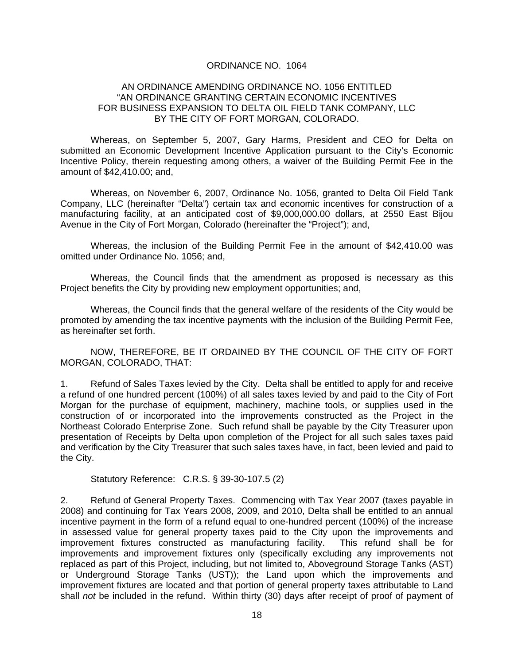#### ORDINANCE NO. 1064

#### AN ORDINANCE AMENDING ORDINANCE NO. 1056 ENTITLED "AN ORDINANCE GRANTING CERTAIN ECONOMIC INCENTIVES FOR BUSINESS EXPANSION TO DELTA OIL FIELD TANK COMPANY, LLC BY THE CITY OF FORT MORGAN, COLORADO.

Whereas, on September 5, 2007, Gary Harms, President and CEO for Delta on submitted an Economic Development Incentive Application pursuant to the City's Economic Incentive Policy, therein requesting among others, a waiver of the Building Permit Fee in the amount of \$42,410.00; and,

Whereas, on November 6, 2007, Ordinance No. 1056, granted to Delta Oil Field Tank Company, LLC (hereinafter "Delta") certain tax and economic incentives for construction of a manufacturing facility, at an anticipated cost of \$9,000,000.00 dollars, at 2550 East Bijou Avenue in the City of Fort Morgan, Colorado (hereinafter the "Project"); and,

 Whereas, the inclusion of the Building Permit Fee in the amount of \$42,410.00 was omitted under Ordinance No. 1056; and,

 Whereas, the Council finds that the amendment as proposed is necessary as this Project benefits the City by providing new employment opportunities; and,

 Whereas, the Council finds that the general welfare of the residents of the City would be promoted by amending the tax incentive payments with the inclusion of the Building Permit Fee, as hereinafter set forth.

 NOW, THEREFORE, BE IT ORDAINED BY THE COUNCIL OF THE CITY OF FORT MORGAN, COLORADO, THAT:

1. Refund of Sales Taxes levied by the City. Delta shall be entitled to apply for and receive a refund of one hundred percent (100%) of all sales taxes levied by and paid to the City of Fort Morgan for the purchase of equipment, machinery, machine tools, or supplies used in the construction of or incorporated into the improvements constructed as the Project in the Northeast Colorado Enterprise Zone. Such refund shall be payable by the City Treasurer upon presentation of Receipts by Delta upon completion of the Project for all such sales taxes paid and verification by the City Treasurer that such sales taxes have, in fact, been levied and paid to the City.

Statutory Reference: C.R.S. § 39-30-107.5 (2)

2. Refund of General Property Taxes. Commencing with Tax Year 2007 (taxes payable in 2008) and continuing for Tax Years 2008, 2009, and 2010, Delta shall be entitled to an annual incentive payment in the form of a refund equal to one-hundred percent (100%) of the increase in assessed value for general property taxes paid to the City upon the improvements and improvement fixtures constructed as manufacturing facility. This refund shall be for improvements and improvement fixtures only (specifically excluding any improvements not replaced as part of this Project, including, but not limited to, Aboveground Storage Tanks (AST) or Underground Storage Tanks (UST)); the Land upon which the improvements and improvement fixtures are located and that portion of general property taxes attributable to Land shall *not* be included in the refund. Within thirty (30) days after receipt of proof of payment of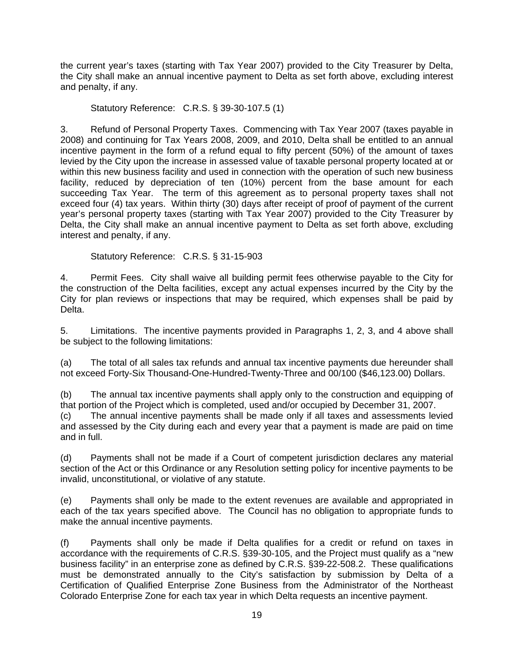the current year's taxes (starting with Tax Year 2007) provided to the City Treasurer by Delta, the City shall make an annual incentive payment to Delta as set forth above, excluding interest and penalty, if any.

Statutory Reference: C.R.S. § 39-30-107.5 (1)

3. Refund of Personal Property Taxes. Commencing with Tax Year 2007 (taxes payable in 2008) and continuing for Tax Years 2008, 2009, and 2010, Delta shall be entitled to an annual incentive payment in the form of a refund equal to fifty percent (50%) of the amount of taxes levied by the City upon the increase in assessed value of taxable personal property located at or within this new business facility and used in connection with the operation of such new business facility, reduced by depreciation of ten (10%) percent from the base amount for each succeeding Tax Year. The term of this agreement as to personal property taxes shall not exceed four (4) tax years. Within thirty (30) days after receipt of proof of payment of the current year's personal property taxes (starting with Tax Year 2007) provided to the City Treasurer by Delta, the City shall make an annual incentive payment to Delta as set forth above, excluding interest and penalty, if any.

Statutory Reference: C.R.S. § 31-15-903

4. Permit Fees.City shall waive all building permit fees otherwise payable to the City for the construction of the Delta facilities, except any actual expenses incurred by the City by the City for plan reviews or inspections that may be required, which expenses shall be paid by Delta.

5. Limitations. The incentive payments provided in Paragraphs 1, 2, 3, and 4 above shall be subject to the following limitations:

(a) The total of all sales tax refunds and annual tax incentive payments due hereunder shall not exceed Forty-Six Thousand-One-Hundred-Twenty-Three and 00/100 (\$46,123.00) Dollars.

(b) The annual tax incentive payments shall apply only to the construction and equipping of that portion of the Project which is completed, used and/or occupied by December 31, 2007. (c) The annual incentive payments shall be made only if all taxes and assessments levied and assessed by the City during each and every year that a payment is made are paid on time and in full.

(d) Payments shall not be made if a Court of competent jurisdiction declares any material section of the Act or this Ordinance or any Resolution setting policy for incentive payments to be invalid, unconstitutional, or violative of any statute.

(e) Payments shall only be made to the extent revenues are available and appropriated in each of the tax years specified above. The Council has no obligation to appropriate funds to make the annual incentive payments.

(f) Payments shall only be made if Delta qualifies for a credit or refund on taxes in accordance with the requirements of C.R.S. §39-30-105, and the Project must qualify as a "new business facility" in an enterprise zone as defined by C.R.S. §39-22-508.2. These qualifications must be demonstrated annually to the City's satisfaction by submission by Delta of a Certification of Qualified Enterprise Zone Business from the Administrator of the Northeast Colorado Enterprise Zone for each tax year in which Delta requests an incentive payment.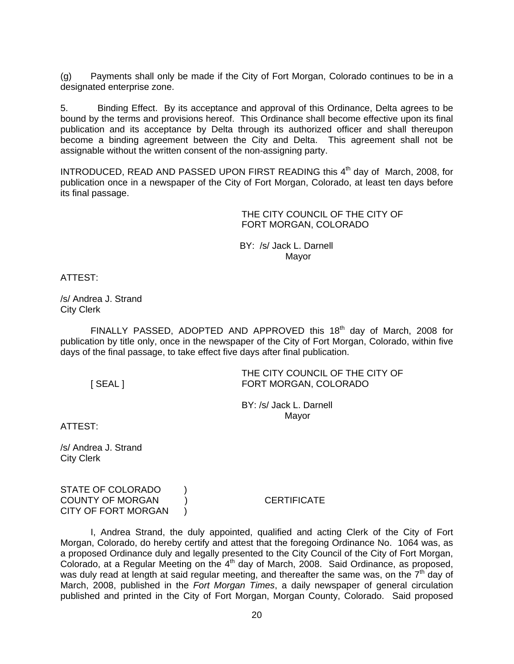(g) Payments shall only be made if the City of Fort Morgan, Colorado continues to be in a designated enterprise zone.

5. Binding Effect. By its acceptance and approval of this Ordinance, Delta agrees to be bound by the terms and provisions hereof. This Ordinance shall become effective upon its final publication and its acceptance by Delta through its authorized officer and shall thereupon become a binding agreement between the City and Delta. This agreement shall not be assignable without the written consent of the non-assigning party.

INTRODUCED, READ AND PASSED UPON FIRST READING this 4<sup>th</sup> day of March, 2008, for publication once in a newspaper of the City of Fort Morgan, Colorado, at least ten days before its final passage.

> THE CITY COUNCIL OF THE CITY OF FORT MORGAN, COLORADO

 BY: /s/ Jack L. Darnell discussion of the control of the Mayor Mayor

ATTEST:

/s/ Andrea J. Strand City Clerk

FINALLY PASSED, ADOPTED AND APPROVED this  $18<sup>th</sup>$  day of March, 2008 for publication by title only, once in the newspaper of the City of Fort Morgan, Colorado, within five days of the final passage, to take effect five days after final publication.

THE CITY COUNCIL OF THE CITY OF [ SEAL ] FORT MORGAN, COLORADO

> BY: /s/ Jack L. Darnell Mayor

ATTEST:

/s/ Andrea J. Strand City Clerk

STATE OF COLORADO ) COUNTY OF MORGAN ) CERTIFICATE CITY OF FORT MORGAN )

 I, Andrea Strand, the duly appointed, qualified and acting Clerk of the City of Fort Morgan, Colorado, do hereby certify and attest that the foregoing Ordinance No. 1064 was, as a proposed Ordinance duly and legally presented to the City Council of the City of Fort Morgan, Colorado, at a Regular Meeting on the  $4<sup>th</sup>$  day of March, 2008. Said Ordinance, as proposed, was duly read at length at said regular meeting, and thereafter the same was, on the  $7<sup>th</sup>$  day of March, 2008, published in the *Fort Morgan Times*, a daily newspaper of general circulation published and printed in the City of Fort Morgan, Morgan County, Colorado. Said proposed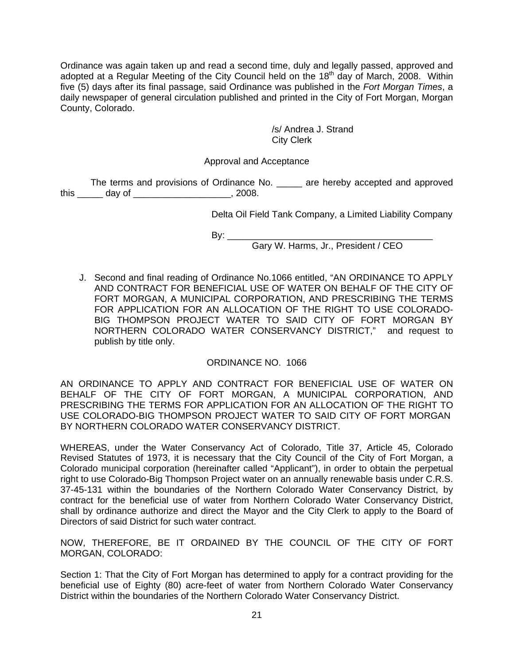Ordinance was again taken up and read a second time, duly and legally passed, approved and adopted at a Regular Meeting of the City Council held on the 18<sup>th</sup> day of March, 2008. Within five (5) days after its final passage, said Ordinance was published in the *Fort Morgan Times*, a daily newspaper of general circulation published and printed in the City of Fort Morgan, Morgan County, Colorado.

> /s/ Andrea J. Strand City Clerk

## Approval and Acceptance

 The terms and provisions of Ordinance No. \_\_\_\_\_ are hereby accepted and approved this \_\_\_\_\_ day of \_\_\_\_\_\_\_\_\_\_\_\_\_\_\_\_\_\_\_, 2008.

Delta Oil Field Tank Company, a Limited Liability Company

By: \_\_\_\_\_\_\_\_\_\_\_\_\_\_\_\_\_\_\_\_\_\_\_\_\_\_\_\_\_\_\_\_\_\_\_\_\_\_\_\_

Gary W. Harms, Jr., President / CEO

J. Second and final reading of Ordinance No.1066 entitled, "AN ORDINANCE TO APPLY AND CONTRACT FOR BENEFICIAL USE OF WATER ON BEHALF OF THE CITY OF FORT MORGAN, A MUNICIPAL CORPORATION, AND PRESCRIBING THE TERMS FOR APPLICATION FOR AN ALLOCATION OF THE RIGHT TO USE COLORADO-BIG THOMPSON PROJECT WATER TO SAID CITY OF FORT MORGAN BY NORTHERN COLORADO WATER CONSERVANCY DISTRICT," and request to publish by title only.

### ORDINANCE NO. 1066

AN ORDINANCE TO APPLY AND CONTRACT FOR BENEFICIAL USE OF WATER ON BEHALF OF THE CITY OF FORT MORGAN, A MUNICIPAL CORPORATION, AND PRESCRIBING THE TERMS FOR APPLICATION FOR AN ALLOCATION OF THE RIGHT TO USE COLORADO-BIG THOMPSON PROJECT WATER TO SAID CITY OF FORT MORGAN BY NORTHERN COLORADO WATER CONSERVANCY DISTRICT.

WHEREAS, under the Water Conservancy Act of Colorado, Title 37, Article 45, Colorado Revised Statutes of 1973, it is necessary that the City Council of the City of Fort Morgan, a Colorado municipal corporation (hereinafter called "Applicant"), in order to obtain the perpetual right to use Colorado-Big Thompson Project water on an annually renewable basis under C.R.S. 37-45-131 within the boundaries of the Northern Colorado Water Conservancy District, by contract for the beneficial use of water from Northern Colorado Water Conservancy District, shall by ordinance authorize and direct the Mayor and the City Clerk to apply to the Board of Directors of said District for such water contract.

NOW, THEREFORE, BE IT ORDAINED BY THE COUNCIL OF THE CITY OF FORT MORGAN, COLORADO:

Section 1: That the City of Fort Morgan has determined to apply for a contract providing for the beneficial use of Eighty (80) acre-feet of water from Northern Colorado Water Conservancy District within the boundaries of the Northern Colorado Water Conservancy District.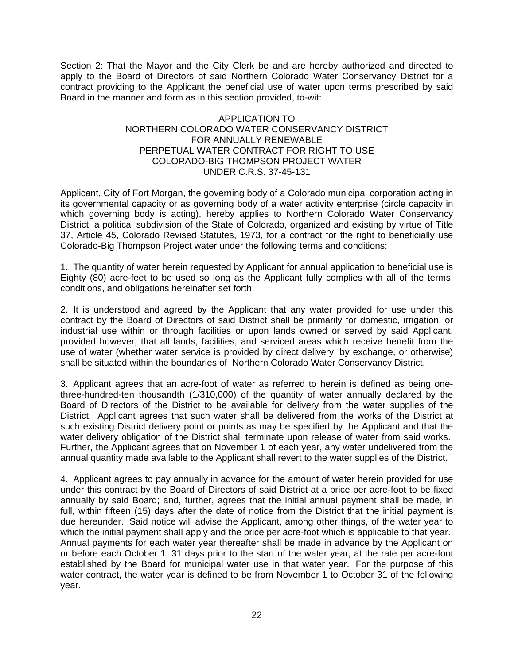Section 2: That the Mayor and the City Clerk be and are hereby authorized and directed to apply to the Board of Directors of said Northern Colorado Water Conservancy District for a contract providing to the Applicant the beneficial use of water upon terms prescribed by said Board in the manner and form as in this section provided, to-wit:

## APPLICATION TO NORTHERN COLORADO WATER CONSERVANCY DISTRICT FOR ANNUALLY RENEWABLE PERPETUAL WATER CONTRACT FOR RIGHT TO USE COLORADO-BIG THOMPSON PROJECT WATER UNDER C.R.S. 37-45-131

Applicant, City of Fort Morgan, the governing body of a Colorado municipal corporation acting in its governmental capacity or as governing body of a water activity enterprise (circle capacity in which governing body is acting), hereby applies to Northern Colorado Water Conservancy District, a political subdivision of the State of Colorado, organized and existing by virtue of Title 37, Article 45, Colorado Revised Statutes, 1973, for a contract for the right to beneficially use Colorado-Big Thompson Project water under the following terms and conditions:

1. The quantity of water herein requested by Applicant for annual application to beneficial use is Eighty (80) acre-feet to be used so long as the Applicant fully complies with all of the terms, conditions, and obligations hereinafter set forth.

2. It is understood and agreed by the Applicant that any water provided for use under this contract by the Board of Directors of said District shall be primarily for domestic, irrigation, or industrial use within or through facilities or upon lands owned or served by said Applicant, provided however, that all lands, facilities, and serviced areas which receive benefit from the use of water (whether water service is provided by direct delivery, by exchange, or otherwise) shall be situated within the boundaries of Northern Colorado Water Conservancy District.

3. Applicant agrees that an acre-foot of water as referred to herein is defined as being onethree-hundred-ten thousandth (1/310,000) of the quantity of water annually declared by the Board of Directors of the District to be available for delivery from the water supplies of the District. Applicant agrees that such water shall be delivered from the works of the District at such existing District delivery point or points as may be specified by the Applicant and that the water delivery obligation of the District shall terminate upon release of water from said works. Further, the Applicant agrees that on November 1 of each year, any water undelivered from the annual quantity made available to the Applicant shall revert to the water supplies of the District.

4. Applicant agrees to pay annually in advance for the amount of water herein provided for use under this contract by the Board of Directors of said District at a price per acre-foot to be fixed annually by said Board; and, further, agrees that the initial annual payment shall be made, in full, within fifteen (15) days after the date of notice from the District that the initial payment is due hereunder. Said notice will advise the Applicant, among other things, of the water year to which the initial payment shall apply and the price per acre-foot which is applicable to that year. Annual payments for each water year thereafter shall be made in advance by the Applicant on or before each October 1, 31 days prior to the start of the water year, at the rate per acre-foot established by the Board for municipal water use in that water year. For the purpose of this water contract, the water year is defined to be from November 1 to October 31 of the following year.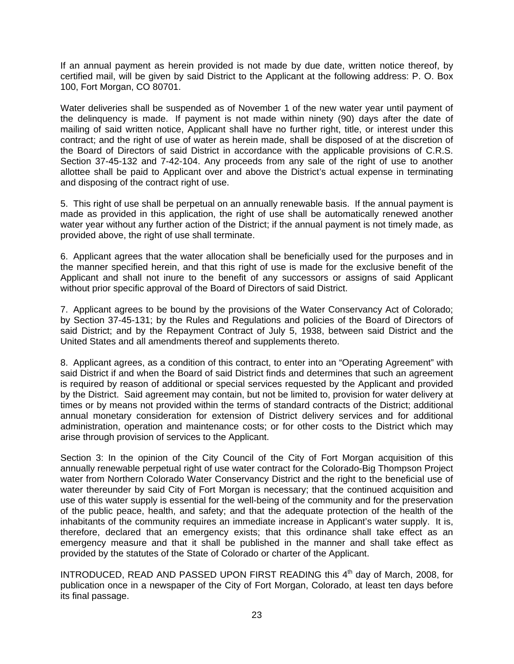If an annual payment as herein provided is not made by due date, written notice thereof, by certified mail, will be given by said District to the Applicant at the following address: P. O. Box 100, Fort Morgan, CO 80701.

Water deliveries shall be suspended as of November 1 of the new water year until payment of the delinquency is made. If payment is not made within ninety (90) days after the date of mailing of said written notice, Applicant shall have no further right, title, or interest under this contract; and the right of use of water as herein made, shall be disposed of at the discretion of the Board of Directors of said District in accordance with the applicable provisions of C.R.S. Section 37-45-132 and 7-42-104. Any proceeds from any sale of the right of use to another allottee shall be paid to Applicant over and above the District's actual expense in terminating and disposing of the contract right of use.

5. This right of use shall be perpetual on an annually renewable basis. If the annual payment is made as provided in this application, the right of use shall be automatically renewed another water year without any further action of the District; if the annual payment is not timely made, as provided above, the right of use shall terminate.

6. Applicant agrees that the water allocation shall be beneficially used for the purposes and in the manner specified herein, and that this right of use is made for the exclusive benefit of the Applicant and shall not inure to the benefit of any successors or assigns of said Applicant without prior specific approval of the Board of Directors of said District.

7. Applicant agrees to be bound by the provisions of the Water Conservancy Act of Colorado; by Section 37-45-131; by the Rules and Regulations and policies of the Board of Directors of said District; and by the Repayment Contract of July 5, 1938, between said District and the United States and all amendments thereof and supplements thereto.

8. Applicant agrees, as a condition of this contract, to enter into an "Operating Agreement" with said District if and when the Board of said District finds and determines that such an agreement is required by reason of additional or special services requested by the Applicant and provided by the District. Said agreement may contain, but not be limited to, provision for water delivery at times or by means not provided within the terms of standard contracts of the District; additional annual monetary consideration for extension of District delivery services and for additional administration, operation and maintenance costs; or for other costs to the District which may arise through provision of services to the Applicant.

Section 3: In the opinion of the City Council of the City of Fort Morgan acquisition of this annually renewable perpetual right of use water contract for the Colorado-Big Thompson Project water from Northern Colorado Water Conservancy District and the right to the beneficial use of water thereunder by said City of Fort Morgan is necessary; that the continued acquisition and use of this water supply is essential for the well-being of the community and for the preservation of the public peace, health, and safety; and that the adequate protection of the health of the inhabitants of the community requires an immediate increase in Applicant's water supply. It is, therefore, declared that an emergency exists; that this ordinance shall take effect as an emergency measure and that it shall be published in the manner and shall take effect as provided by the statutes of the State of Colorado or charter of the Applicant.

INTRODUCED, READ AND PASSED UPON FIRST READING this 4<sup>th</sup> day of March, 2008, for publication once in a newspaper of the City of Fort Morgan, Colorado, at least ten days before its final passage.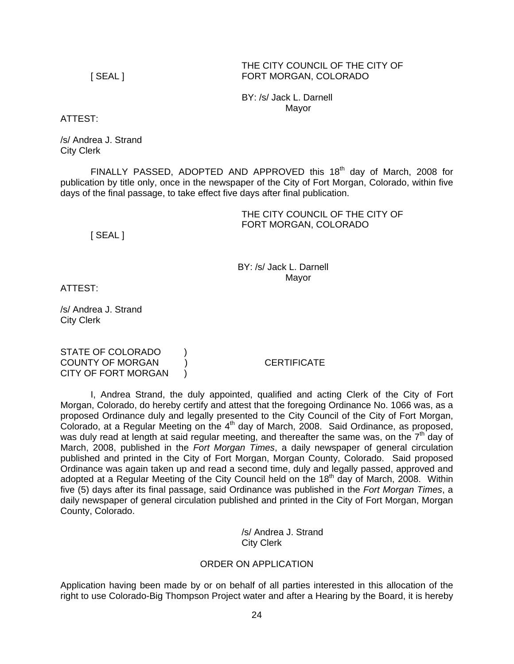#### THE CITY COUNCIL OF THE CITY OF [ SEAL ] FORT MORGAN, COLORADO

 BY: /s/ Jack L. Darnell Mayor

ATTEST:

/s/ Andrea J. Strand City Clerk

FINALLY PASSED, ADOPTED AND APPROVED this  $18<sup>th</sup>$  day of March, 2008 for publication by title only, once in the newspaper of the City of Fort Morgan, Colorado, within five days of the final passage, to take effect five days after final publication.

## THE CITY COUNCIL OF THE CITY OF FORT MORGAN, COLORADO

[ SEAL ]

 BY: /s/ Jack L. Darnell discussion of the contract of the Mayor Mayor

ATTEST:

/s/ Andrea J. Strand City Clerk

STATE OF COLORADO ) COUNTY OF MORGAN ) CERTIFICATE CITY OF FORT MORGAN )

 I, Andrea Strand, the duly appointed, qualified and acting Clerk of the City of Fort Morgan, Colorado, do hereby certify and attest that the foregoing Ordinance No. 1066 was, as a proposed Ordinance duly and legally presented to the City Council of the City of Fort Morgan, Colorado, at a Regular Meeting on the  $4<sup>th</sup>$  day of March, 2008. Said Ordinance, as proposed, was duly read at length at said regular meeting, and thereafter the same was, on the  $7<sup>th</sup>$  day of March, 2008, published in the *Fort Morgan Times*, a daily newspaper of general circulation published and printed in the City of Fort Morgan, Morgan County, Colorado. Said proposed Ordinance was again taken up and read a second time, duly and legally passed, approved and adopted at a Regular Meeting of the City Council held on the  $18<sup>th</sup>$  day of March, 2008. Within five (5) days after its final passage, said Ordinance was published in the *Fort Morgan Times*, a daily newspaper of general circulation published and printed in the City of Fort Morgan, Morgan County, Colorado.

> /s/ Andrea J. Strand City Clerk

# ORDER ON APPLICATION

Application having been made by or on behalf of all parties interested in this allocation of the right to use Colorado-Big Thompson Project water and after a Hearing by the Board, it is hereby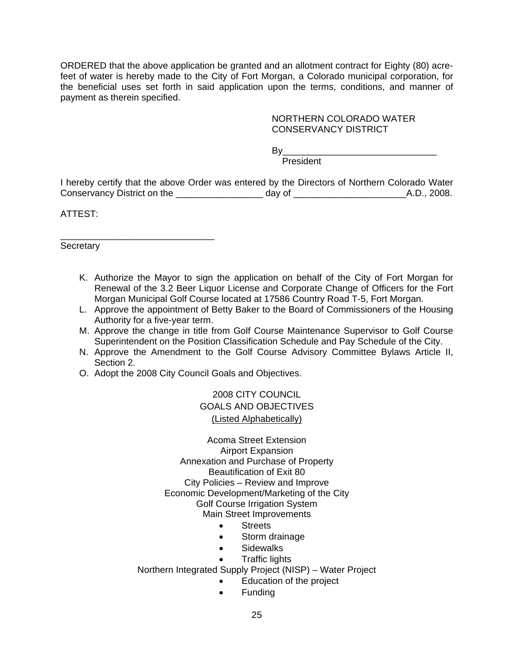ORDERED that the above application be granted and an allotment contract for Eighty (80) acrefeet of water is hereby made to the City of Fort Morgan, a Colorado municipal corporation, for the beneficial uses set forth in said application upon the terms, conditions, and manner of payment as therein specified.

# NORTHERN COLORADO WATER CONSERVANCY DISTRICT

By\_\_\_\_\_\_\_\_\_\_\_\_\_\_\_\_\_\_\_\_\_\_\_\_\_\_\_\_\_\_

**President President** 

I hereby certify that the above Order was entered by the Directors of Northern Colorado Water Conservancy District on the \_\_\_\_\_\_\_\_\_\_\_\_\_\_\_\_\_ day of \_\_\_\_\_\_\_\_\_\_\_\_\_\_\_\_\_\_\_\_\_\_A.D., 2008.

ATTEST:

**Secretary** 

\_\_\_\_\_\_\_\_\_\_\_\_\_\_\_\_\_\_\_\_\_\_\_\_\_\_\_\_\_\_

- K. Authorize the Mayor to sign the application on behalf of the City of Fort Morgan for Renewal of the 3.2 Beer Liquor License and Corporate Change of Officers for the Fort Morgan Municipal Golf Course located at 17586 Country Road T-5, Fort Morgan.
- L. Approve the appointment of Betty Baker to the Board of Commissioners of the Housing Authority for a five-year term.
- M. Approve the change in title from Golf Course Maintenance Supervisor to Golf Course Superintendent on the Position Classification Schedule and Pay Schedule of the City.
- N. Approve the Amendment to the Golf Course Advisory Committee Bylaws Article II, Section 2.
- O. Adopt the 2008 City Council Goals and Objectives.

2008 CITY COUNCIL GOALS AND OBJECTIVES (Listed Alphabetically)

Acoma Street Extension Airport Expansion Annexation and Purchase of Property Beautification of Exit 80 City Policies – Review and Improve Economic Development/Marketing of the City Golf Course Irrigation System Main Street Improvements

- Streets
- Storm drainage
- Sidewalks
- Traffic lights

Northern Integrated Supply Project (NISP) – Water Project

- Education of the project
- Funding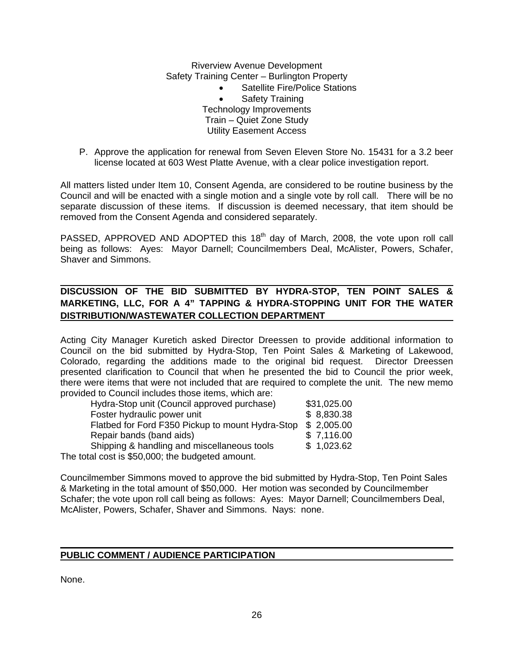Riverview Avenue Development Safety Training Center – Burlington Property

- Satellite Fire/Police Stations Safety Training Technology Improvements Train – Quiet Zone Study Utility Easement Access
- P. Approve the application for renewal from Seven Eleven Store No. 15431 for a 3.2 beer license located at 603 West Platte Avenue, with a clear police investigation report.

All matters listed under Item 10, Consent Agenda, are considered to be routine business by the Council and will be enacted with a single motion and a single vote by roll call. There will be no separate discussion of these items. If discussion is deemed necessary, that item should be removed from the Consent Agenda and considered separately.

PASSED, APPROVED AND ADOPTED this 18<sup>th</sup> day of March, 2008, the vote upon roll call being as follows: Ayes: Mayor Darnell; Councilmembers Deal, McAlister, Powers, Schafer, Shaver and Simmons.

# **DISCUSSION OF THE BID SUBMITTED BY HYDRA-STOP, TEN POINT SALES & MARKETING, LLC, FOR A 4" TAPPING & HYDRA-STOPPING UNIT FOR THE WATER DISTRIBUTION/WASTEWATER COLLECTION DEPARTMENT**

Acting City Manager Kuretich asked Director Dreessen to provide additional information to Council on the bid submitted by Hydra-Stop, Ten Point Sales & Marketing of Lakewood, Colorado, regarding the additions made to the original bid request. Director Dreessen presented clarification to Council that when he presented the bid to Council the prior week, there were items that were not included that are required to complete the unit. The new memo provided to Council includes those items, which are:

| Hydra-Stop unit (Council approved purchase)      | \$31,025.00 |
|--------------------------------------------------|-------------|
| Foster hydraulic power unit                      | \$8,830.38  |
| Flatbed for Ford F350 Pickup to mount Hydra-Stop | \$2,005.00  |
| Repair bands (band aids)                         | \$7,116.00  |
| Shipping & handling and miscellaneous tools      | \$1,023.62  |
| The total cost is \$50,000; the budgeted amount. |             |

Councilmember Simmons moved to approve the bid submitted by Hydra-Stop, Ten Point Sales & Marketing in the total amount of \$50,000. Her motion was seconded by Councilmember Schafer; the vote upon roll call being as follows: Ayes: Mayor Darnell; Councilmembers Deal, McAlister, Powers, Schafer, Shaver and Simmons. Nays: none.

# **PUBLIC COMMENT / AUDIENCE PARTICIPATION**

None.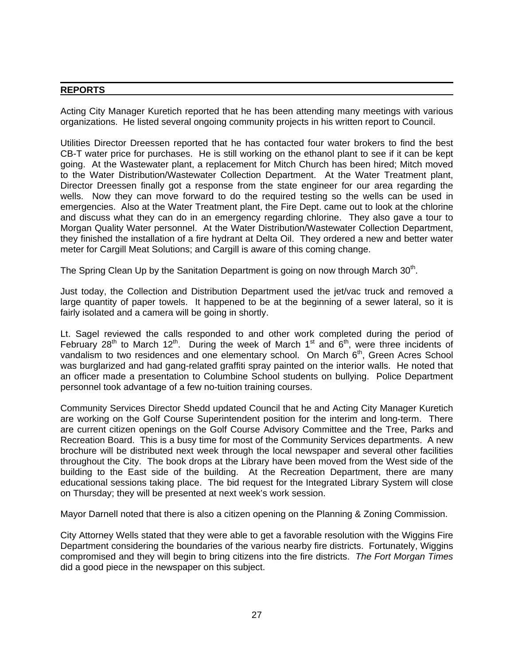## **REPORTS**

Acting City Manager Kuretich reported that he has been attending many meetings with various organizations. He listed several ongoing community projects in his written report to Council.

Utilities Director Dreessen reported that he has contacted four water brokers to find the best CB-T water price for purchases. He is still working on the ethanol plant to see if it can be kept going. At the Wastewater plant, a replacement for Mitch Church has been hired; Mitch moved to the Water Distribution/Wastewater Collection Department. At the Water Treatment plant, Director Dreessen finally got a response from the state engineer for our area regarding the wells. Now they can move forward to do the required testing so the wells can be used in emergencies. Also at the Water Treatment plant, the Fire Dept. came out to look at the chlorine and discuss what they can do in an emergency regarding chlorine. They also gave a tour to Morgan Quality Water personnel. At the Water Distribution/Wastewater Collection Department, they finished the installation of a fire hydrant at Delta Oil. They ordered a new and better water meter for Cargill Meat Solutions; and Cargill is aware of this coming change.

The Spring Clean Up by the Sanitation Department is going on now through March 30<sup>th</sup>.

Just today, the Collection and Distribution Department used the jet/vac truck and removed a large quantity of paper towels. It happened to be at the beginning of a sewer lateral, so it is fairly isolated and a camera will be going in shortly.

Lt. Sagel reviewed the calls responded to and other work completed during the period of February 28<sup>th</sup> to March 12<sup>th</sup>. During the week of March 1<sup>st</sup> and  $6<sup>th</sup>$ , were three incidents of vandalism to two residences and one elementary school. On March 6<sup>th</sup>, Green Acres School was burglarized and had gang-related graffiti spray painted on the interior walls. He noted that an officer made a presentation to Columbine School students on bullying. Police Department personnel took advantage of a few no-tuition training courses.

Community Services Director Shedd updated Council that he and Acting City Manager Kuretich are working on the Golf Course Superintendent position for the interim and long-term. There are current citizen openings on the Golf Course Advisory Committee and the Tree, Parks and Recreation Board. This is a busy time for most of the Community Services departments. A new brochure will be distributed next week through the local newspaper and several other facilities throughout the City. The book drops at the Library have been moved from the West side of the building to the East side of the building. At the Recreation Department, there are many educational sessions taking place. The bid request for the Integrated Library System will close on Thursday; they will be presented at next week's work session.

Mayor Darnell noted that there is also a citizen opening on the Planning & Zoning Commission.

City Attorney Wells stated that they were able to get a favorable resolution with the Wiggins Fire Department considering the boundaries of the various nearby fire districts. Fortunately, Wiggins compromised and they will begin to bring citizens into the fire districts. *The Fort Morgan Times* did a good piece in the newspaper on this subject.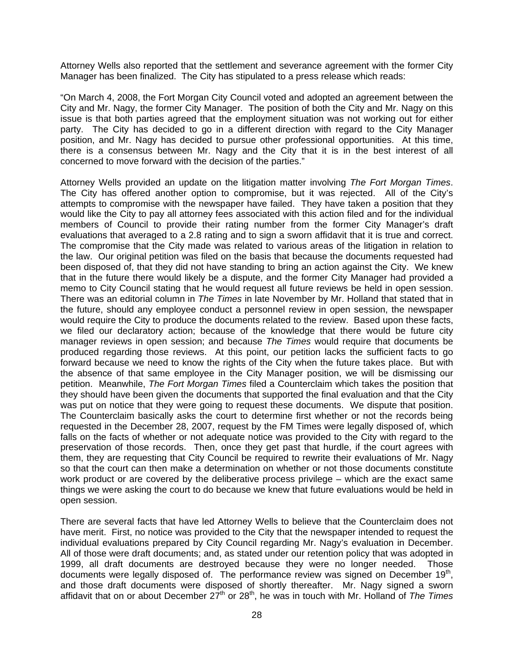Attorney Wells also reported that the settlement and severance agreement with the former City Manager has been finalized. The City has stipulated to a press release which reads:

"On March 4, 2008, the Fort Morgan City Council voted and adopted an agreement between the City and Mr. Nagy, the former City Manager. The position of both the City and Mr. Nagy on this issue is that both parties agreed that the employment situation was not working out for either party. The City has decided to go in a different direction with regard to the City Manager position, and Mr. Nagy has decided to pursue other professional opportunities. At this time, there is a consensus between Mr. Nagy and the City that it is in the best interest of all concerned to move forward with the decision of the parties."

Attorney Wells provided an update on the litigation matter involving *The Fort Morgan Times*. The City has offered another option to compromise, but it was rejected. All of the City's attempts to compromise with the newspaper have failed. They have taken a position that they would like the City to pay all attorney fees associated with this action filed and for the individual members of Council to provide their rating number from the former City Manager's draft evaluations that averaged to a 2.8 rating and to sign a sworn affidavit that it is true and correct. The compromise that the City made was related to various areas of the litigation in relation to the law. Our original petition was filed on the basis that because the documents requested had been disposed of, that they did not have standing to bring an action against the City. We knew that in the future there would likely be a dispute, and the former City Manager had provided a memo to City Council stating that he would request all future reviews be held in open session. There was an editorial column in *The Times* in late November by Mr. Holland that stated that in the future, should any employee conduct a personnel review in open session, the newspaper would require the City to produce the documents related to the review. Based upon these facts, we filed our declaratory action; because of the knowledge that there would be future city manager reviews in open session; and because *The Times* would require that documents be produced regarding those reviews. At this point, our petition lacks the sufficient facts to go forward because we need to know the rights of the City when the future takes place. But with the absence of that same employee in the City Manager position, we will be dismissing our petition. Meanwhile, *The Fort Morgan Times* filed a Counterclaim which takes the position that they should have been given the documents that supported the final evaluation and that the City was put on notice that they were going to request these documents. We dispute that position. The Counterclaim basically asks the court to determine first whether or not the records being requested in the December 28, 2007, request by the FM Times were legally disposed of, which falls on the facts of whether or not adequate notice was provided to the City with regard to the preservation of those records. Then, once they get past that hurdle, if the court agrees with them, they are requesting that City Council be required to rewrite their evaluations of Mr. Nagy so that the court can then make a determination on whether or not those documents constitute work product or are covered by the deliberative process privilege – which are the exact same things we were asking the court to do because we knew that future evaluations would be held in open session.

There are several facts that have led Attorney Wells to believe that the Counterclaim does not have merit. First, no notice was provided to the City that the newspaper intended to request the individual evaluations prepared by City Council regarding Mr. Nagy's evaluation in December. All of those were draft documents; and, as stated under our retention policy that was adopted in 1999, all draft documents are destroyed because they were no longer needed. Those documents were legally disposed of. The performance review was signed on December  $19<sup>th</sup>$ , and those draft documents were disposed of shortly thereafter. Mr. Nagy signed a sworn affidavit that on or about December 27<sup>th</sup> or 28<sup>th</sup>, he was in touch with Mr. Holland of *The Times*